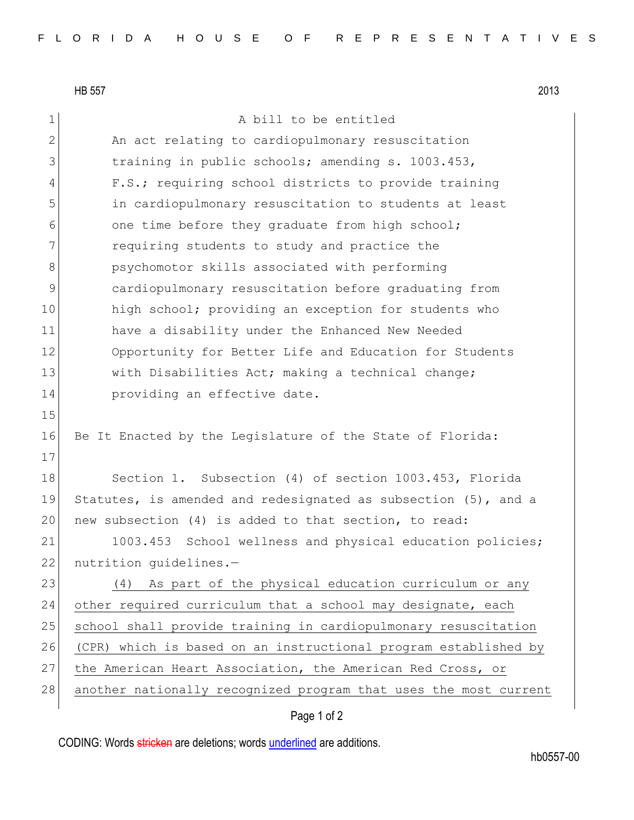HB 557 2013

1 a bill to be entitled 2 An act relating to cardiopulmonary resuscitation 3 training in public schools; amending s. 1003.453, 4 F.S.; requiring school districts to provide training 5 in cardiopulmonary resuscitation to students at least 6 one time before they graduate from high school; 7 **1** requiring students to study and practice the 8 **psychomotor skills associated with performing** 9 cardiopulmonary resuscitation before graduating from 10 high school; providing an exception for students who 11 have a disability under the Enhanced New Needed 12 Opportunity for Better Life and Education for Students 13 With Disabilities Act; making a technical change; 14 **providing an effective date.** 15 16 Be It Enacted by the Legislature of the State of Florida: 17 18 Section 1. Subsection (4) of section 1003.453, Florida 19 Statutes, is amended and redesignated as subsection (5), and a 20 new subsection (4) is added to that section, to read: 21 1003.453 School wellness and physical education policies; 22 nutrition guidelines.-23 (4) As part of the physical education curriculum or any 24 other required curriculum that a school may designate, each 25 school shall provide training in cardiopulmonary resuscitation 26 (CPR) which is based on an instructional program established by 27 the American Heart Association, the American Red Cross, or 28 another nationally recognized program that uses the most current

## Page 1 of 2

CODING: Words stricken are deletions; words underlined are additions.